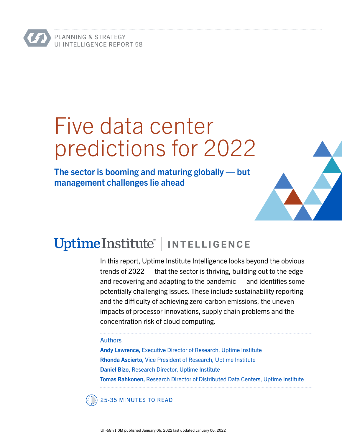# Five data center predictions for 2022

The sector is booming and maturing globally — but management challenges lie ahead



In this report, Uptime Institute Intelligence looks beyond the obvious trends of 2022 — that the sector is thriving, building out to the edge and recovering and adapting to the pandemic — and identifies some potentially challenging issues. These include sustainability reporting and the difficulty of achieving zero-carbon emissions, the uneven impacts of processor innovations, supply chain problems and the concentration risk of cloud computing.

#### Authors

Andy Lawrence, Executive Director of Research, Uptime Institute Rhonda Ascierto, Vice President of Research, Uptime Institute Daniel Bizo, Research Director, Uptime Institute Tomas Rahkonen, Research Director of Distributed Data Centers, Uptime Institute

25-35 MINUTES TO READ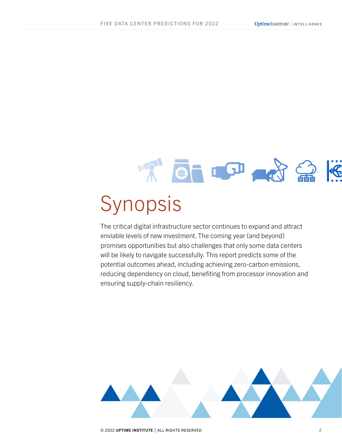## **BELOI AN** 命 Synopsis

The critical digital infrastructure sector continues to expand and attract enviable levels of new investment. The coming year (and beyond) promises opportunities but also challenges that only some data centers will be likely to navigate successfully. This report predicts some of the potential outcomes ahead, including achieving zero-carbon emissions, reducing dependency on cloud, benefiting from processor innovation and



ensuring supply-chain resiliency.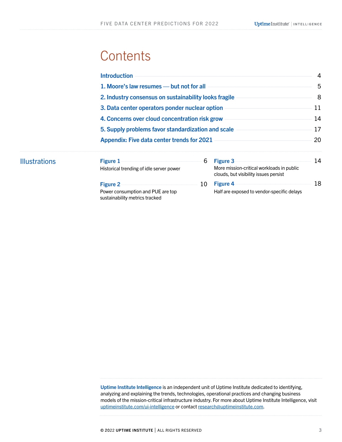## **Contents**

Illustrations

|  | <b>Introduction</b><br>1. Moore's law resumes — but not for all<br>2. Industry consensus on sustainability looks fragile<br>3. Data center operators ponder nuclear option<br>4. Concerns over cloud concentration risk grow<br>5. Supply problems favor standardization and scale<br><b>Appendix: Five data center trends for 2021</b> |    |                                                                                                       | 4<br>5<br>8<br>11<br>14<br>17 |
|--|-----------------------------------------------------------------------------------------------------------------------------------------------------------------------------------------------------------------------------------------------------------------------------------------------------------------------------------------|----|-------------------------------------------------------------------------------------------------------|-------------------------------|
|  |                                                                                                                                                                                                                                                                                                                                         |    |                                                                                                       |                               |
|  |                                                                                                                                                                                                                                                                                                                                         |    |                                                                                                       |                               |
|  |                                                                                                                                                                                                                                                                                                                                         |    |                                                                                                       |                               |
|  |                                                                                                                                                                                                                                                                                                                                         |    |                                                                                                       |                               |
|  |                                                                                                                                                                                                                                                                                                                                         |    |                                                                                                       |                               |
|  |                                                                                                                                                                                                                                                                                                                                         |    |                                                                                                       | 20                            |
|  | <b>Figure 1</b><br>Historical trending of idle server power                                                                                                                                                                                                                                                                             | 6  | <b>Figure 3</b><br>More mission-critical workloads in public<br>clouds, but visibility issues persist | 14                            |
|  | <b>Figure 2</b><br>Power consumption and PUE are top<br>sustainability metrics tracked                                                                                                                                                                                                                                                  | 10 | <b>Figure 4</b><br>Half are exposed to vendor-specific delays                                         | 18                            |

Uptime Institute Intelligence is an independent unit of Uptime Institute dedicated to identifying, analyzing and explaining the trends, technologies, operational practices and changing business models of the mission-critical infrastructure industry. For more about Uptime Institute Intelligence, visit [uptimeinstitute.com/ui-intelligence](http://uptimeinstitute.com/ui-intelligence) or contact [research@uptimeinstitute.com](mailto:research%40uptimeinstitute.com?subject=).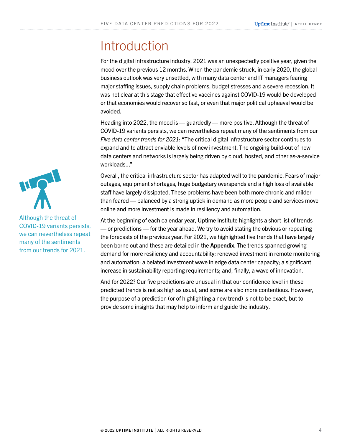## <span id="page-3-0"></span>Introduction

For the digital infrastructure industry, 2021 was an unexpectedly positive year, given the mood over the previous 12 months. When the pandemic struck, in early 2020, the global business outlook was very unsettled, with many data center and IT managers fearing major staffing issues, supply chain problems, budget stresses and a severe recession. It was not clear at this stage that effective vaccines against COVID-19 would be developed or that economies would recover so fast, or even that major political upheaval would be avoided.

Heading into 2022, the mood is — guardedly — more positive. Although the threat of COVID-19 variants persists, we can nevertheless repeat many of the sentiments from our *[Five data center trends for 2021](https://insidetrack.uptimeinstitute.com/member/resource/show/28776?s=col&cid=28837)*: "The critical digital infrastructure sector continues to expand and to attract enviable levels of new investment. The ongoing build-out of new data centers and networks is largely being driven by cloud, hosted, and other as-a-service workloads..."

Overall, the critical infrastructure sector has adapted well to the pandemic. Fears of major outages, equipment shortages, huge budgetary overspends and a high loss of available staff have largely dissipated. These problems have been both more chronic and milder than feared — balanced by a strong uptick in demand as more people and services move online and more investment is made in resiliency and automation.

At the beginning of each calendar year, Uptime Institute highlights a short list of trends — or predictions — for the year ahead. We try to avoid stating the obvious or repeating the forecasts of the previous year. For 2021, we highlighted five trends that have largely been borne out and these are detailed in the [Appendix](#page-19-0). The trends spanned growing demand for more resiliency and accountability; renewed investment in remote monitoring and automation; a belated investment wave in edge data center capacity; a significant increase in sustainability reporting requirements; and, finally, a wave of innovation.

And for 2022? Our five predictions are unusual in that our confidence level in these predicted trends is not as high as usual, and some are also more contentious. However, the purpose of a prediction (or of highlighting a new trend) is not to be exact, but to provide some insights that may help to inform and guide the industry.



Although the threat of COVID-19 variants persists, we can nevertheless repeat many of the sentiments from our trends for 2021.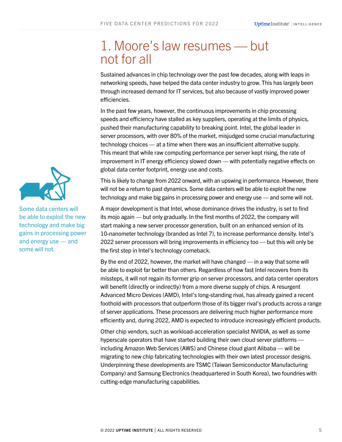### <span id="page-4-0"></span>1. Moore's law resumes — but not for all

Sustained advances in chip technology over the past few decades, along with leaps in networking speeds, have helped the data center industry to grow. This has largely been through increased demand for IT services, but also because of vastly improved power efficiencies.

In the past few years, however, the continuous improvements in chip processing speeds and efficiency have stalled as key suppliers, operating at the limits of physics, pushed their manufacturing capability to breaking point. Intel, the global leader in server processors, with over 80% of the market, misjudged some crucial manufacturing technology choices — at a time when there was an insufficient alternative supply. This meant that while raw computing performance per server kept rising, the rate of improvement in IT energy efficiency slowed down — with potentially negative effects on global data center footprint, energy use and costs.

This is likely to change from 2022 onward, with an upswing in performance. However, there will not be a return to past dynamics. Some data centers will be able to exploit the new technology and make big gains in processing power and energy use — and some will not.

A major development is that Intel, whose dominance drives the industry, is set to find its mojo again — but only gradually. In the first months of 2022, the company will start making a new server processor generation, built on an enhanced version of its 10-nanometer technology (branded as Intel 7), to increase performance density. Intel's 2022 server processors will bring improvements in efficiency too — but this will only be the first step in Intel's technology comeback.

By the end of 2022, however, the market will have changed — in a way that some will be able to exploit far better than others. Regardless of how fast Intel recovers from its missteps, it will not regain its former grip on server processors, and data center operators will benefit (directly or indirectly) from a more diverse supply of chips. A resurgent Advanced Micro Devices (AMD), Intel's long-standing rival, has already gained a recent foothold with processors that outperform those of its bigger rival's products across a range of server applications. These processors are delivering much higher performance more efficiently and, during 2022, AMD is expected to introduce increasingly efficient products.

Other chip vendors, such as workload-acceleration specialist NVIDIA, as well as some hyperscale operators that have started building their own cloud server platforms including Amazon Web Services (AWS) and Chinese cloud giant Alibaba — will be migrating to new chip fabricating technologies with their own latest processor designs. Underpinning these developments are TSMC (Taiwan Semiconductor Manufacturing Company) and Samsung Electronics (headquartered in South Korea), two foundries with cutting-edge manufacturing capabilities.



Some data centers will be able to exploit the new technology and make big gains in processing power and energy use — and some will not.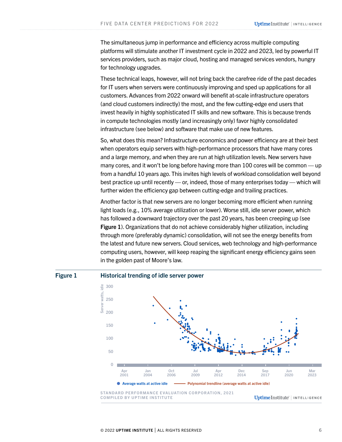<span id="page-5-0"></span>The simultaneous jump in performance and efficiency across multiple computing platforms will stimulate another IT investment cycle in 2022 and 2023, led by powerful IT services providers, such as major cloud, hosting and managed services vendors, hungry for technology upgrades.

These technical leaps, however, will not bring back the carefree ride of the past decades for IT users when servers were continuously improving and sped up applications for all customers. Advances from 2022 onward will benefit at-scale infrastructure operators (and cloud customers indirectly) the most, and the few cutting-edge end users that invest heavily in highly sophisticated IT skills and new software. This is because trends in compute technologies mostly (and increasingly only) favor highly consolidated infrastructure (see below) and software that make use of new features.

So, what does this mean? Infrastructure economics and power efficiency are at their best when operators equip servers with high-performance processors that have many cores and a large memory, and when they are run at high utilization levels. New servers have many cores, and it won't be long before having more than 100 cores will be common — up from a handful 10 years ago. This invites high levels of workload consolidation well beyond best practice up until recently — or, indeed, those of many enterprises today — which will further widen the efficiency gap between cutting-edge and trailing practices.

Another factor is that new servers are no longer becoming more efficient when running light loads (e.g., 10% average utilization or lower). Worse still, idle server power, which has followed a downward trajectory over the past 20 years, has been creeping up (see Figure 1). Organizations that do not achieve considerably higher utilization, including through more (preferably dynamic) consolidation, will not see the energy benefits from the latest and future new servers. Cloud services, web technology and high-performance computing users, however, will keep reaping the significant energy efficiency gains seen in the golden past of Moore's law.

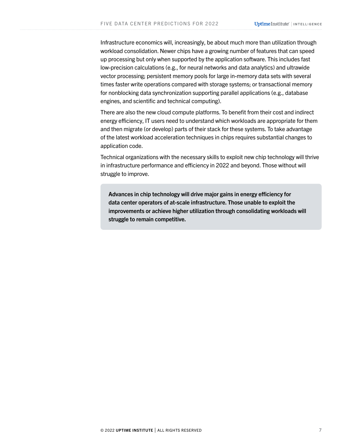Infrastructure economics will, increasingly, be about much more than utilization through workload consolidation. Newer chips have a growing number of features that can speed up processing but only when supported by the application software. This includes fast low-precision calculations (e.g., for neural networks and data analytics) and ultrawide vector processing; persistent memory pools for large in-memory data sets with several times faster write operations compared with storage systems; or transactional memory for nonblocking data synchronization supporting parallel applications (e.g., database engines, and scientific and technical computing).

There are also the new cloud compute platforms. To benefit from their cost and indirect energy efficiency, IT users need to understand which workloads are appropriate for them and then migrate (or develop) parts of their stack for these systems. To take advantage of the latest workload acceleration techniques in chips requires substantial changes to application code.

Technical organizations with the necessary skills to exploit new chip technology will thrive in infrastructure performance and efficiency in 2022 and beyond. Those without will struggle to improve.

Advances in chip technology will drive major gains in energy efficiency for data center operators of at-scale infrastructure. Those unable to exploit the improvements or achieve higher utilization through consolidating workloads will struggle to remain competitive.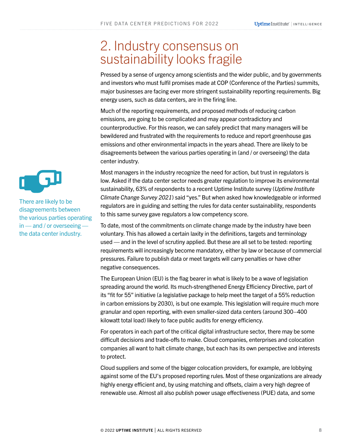### <span id="page-7-0"></span>2. Industry consensus on sustainability looks fragile

Pressed by a sense of urgency among scientists and the wider public, and by governments and investors who must fulfil promises made at COP (Conference of the Parties) summits, major businesses are facing ever more stringent sustainability reporting requirements. Big energy users, such as data centers, are in the firing line.

Much of the reporting requirements, and proposed methods of reducing carbon emissions, are going to be complicated and may appear contradictory and counterproductive. For this reason, we can safely predict that many managers will be bewildered and frustrated with the requirements to reduce and report greenhouse gas emissions and other environmental impacts in the years ahead. There are likely to be disagreements between the various parties operating in (and / or overseeing) the data center industry.

Most managers in the industry recognize the need for action, but trust in regulators is low. Asked if the data center sector needs greater regulation to improve its environmental sustainability, 63% of respondents to a recent Uptime Institute survey (*[Uptime Institute](https://insidetrack.uptimeinstitute.com/member/resource/show/29873)  [Climate Change Survey 2021](https://insidetrack.uptimeinstitute.com/member/resource/show/29873)*) said "yes." But when asked how knowledgeable or informed regulators are in guiding and setting the rules for data center sustainability, respondents to this same survey gave regulators a low competency score.

To date, most of the commitments on climate change made by the industry have been voluntary. This has allowed a certain laxity in the definitions, targets and terminology used — and in the level of scrutiny applied. But these are all set to be tested: reporting requirements will increasingly become mandatory, either by law or because of commercial pressures. Failure to publish data or meet targets will carry penalties or have other negative consequences.

The European Union (EU) is the flag bearer in what is likely to be a wave of legislation spreading around the world. Its much-strengthened Energy Efficiency Directive, part of its "fit for 55" initiative (a legislative package to help meet the target of a 55% reduction in carbon emissions by 2030), is but one example. This legislation will require much more granular and open reporting, with even smaller-sized data centers (around 300–400 kilowatt total load) likely to face public audits for energy efficiency.

For operators in each part of the critical digital infrastructure sector, there may be some difficult decisions and trade-offs to make. Cloud companies, enterprises and colocation companies all want to halt climate change, but each has its own perspective and interests to protect.

Cloud suppliers and some of the bigger colocation providers, for example, are lobbying against some of the EU's proposed reporting rules. Most of these organizations are already highly energy efficient and, by using matching and offsets, claim a very high degree of renewable use. Almost all also publish power usage effectiveness (PUE) data, and some



There are likely to be disagreements between the various parties operating in — and / or overseeing the data center industry.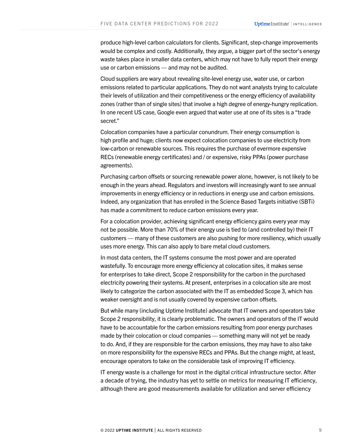produce high-level carbon calculators for clients. Significant, step-change improvements would be complex and costly. Additionally, they argue, a bigger part of the sector's energy waste takes place in smaller data centers, which may not have to fully report their energy use or carbon emissions — and may not be audited.

Cloud suppliers are wary about revealing site-level energy use, water use, or carbon emissions related to particular applications. They do not want analysts trying to calculate their levels of utilization and their competitiveness or the energy efficiency of availability zones (rather than of single sites) that involve a high degree of energy-hungry replication. In one recent US case, Google even argued that water use at one of its sites is a "trade secret."

Colocation companies have a particular conundrum. Their energy consumption is high profile and huge; clients now expect colocation companies to use electricity from low-carbon or renewable sources. This requires the purchase of evermore expensive RECs (renewable energy certificates) and / or expensive, risky PPAs (power purchase agreements).

Purchasing carbon offsets or sourcing renewable power alone, however, is not likely to be enough in the years ahead. Regulators and investors will increasingly want to see annual improvements in energy efficiency or in reductions in energy use and carbon emissions. Indeed, any organization that has enrolled in the Science Based Targets initiative (SBTi) has made a commitment to reduce carbon emissions every year.

For a colocation provider, achieving significant energy efficiency gains every year may not be possible. More than 70% of their energy use is tied to (and controlled by) their IT customers — many of these customers are also pushing for more resiliency, which usually uses more energy. This can also apply to bare metal cloud customers.

In most data centers, the IT systems consume the most power and are operated wastefully. To encourage more energy efficiency at colocation sites, it makes sense for enterprises to take direct, Scope 2 responsibility for the carbon in the purchased electricity powering their systems. At present, enterprises in a colocation site are most likely to categorize the carbon associated with the IT as embedded Scope 3, which has weaker oversight and is not usually covered by expensive carbon offsets.

But while many (including Uptime Institute) advocate that IT owners and operators take Scope 2 responsibility, it is clearly problematic. The owners and operators of the IT would have to be accountable for the carbon emissions resulting from poor energy purchases made by their colocation or cloud companies — something many will not yet be ready to do. And, if they are responsible for the carbon emissions, they may have to also take on more responsibility for the expensive RECs and PPAs. But the change might, at least, encourage operators to take on the considerable task of improving IT efficiency.

IT energy waste is a challenge for most in the digital critical infrastructure sector. After a decade of trying, the industry has yet to settle on metrics for measuring IT efficiency, although there are good measurements available for utilization and server efficiency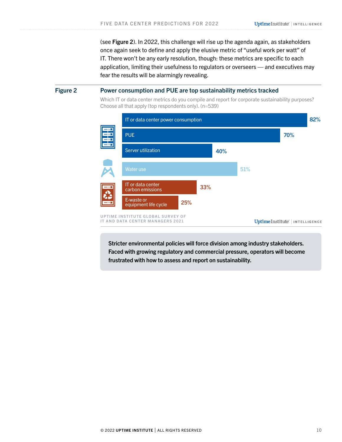(see Figure 2). In 2022, this challenge will rise up the agenda again, as stakeholders once again seek to define and apply the elusive metric of "useful work per watt" of IT. There won't be any early resolution, though: these metrics are specific to each application, limiting their usefulness to regulators or overseers — and executives may fear the results will be alarmingly revealing.

#### <span id="page-9-0"></span>Figure 2 Power consumption and PUE are top sustainability metrics tracked

Which IT or data center metrics do you compile and report for corporate sustainability purposes? Choose all that apply (top respondents only). (n=539)



Stricter environmental policies will force division among industry stakeholders. Faced with growing regulatory and commercial pressure, operators will become frustrated with how to assess and report on sustainability.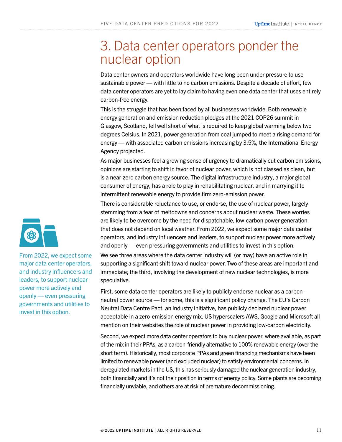### <span id="page-10-0"></span>3. Data center operators ponder the nuclear option

Data center owners and operators worldwide have long been under pressure to use sustainable power — with little to no carbon emissions. Despite a decade of effort, few data center operators are yet to lay claim to having even one data center that uses entirely carbon-free energy.

This is the struggle that has been faced by all businesses worldwide. Both renewable energy generation and emission reduction pledges at the 2021 COP26 summit in Glasgow, Scotland, fell well short of what is required to keep global warming below two degrees Celsius. In 2021, power generation from coal jumped to meet a rising demand for energy — with associated carbon emissions increasing by 3.5%, the International Energy Agency projected.

As major businesses feel a growing sense of urgency to dramatically cut carbon emissions, opinions are starting to shift in favor of nuclear power, which is not classed as clean, but is a near-zero carbon energy source. The digital infrastructure industry, a major global consumer of energy, has a role to play in rehabilitating nuclear, and in marrying it to intermittent renewable energy to provide firm zero-emission power.

There is considerable reluctance to use, or endorse, the use of nuclear power, largely stemming from a fear of meltdowns and concerns about nuclear waste. These worries are likely to be overcome by the need for dispatchable, low-carbon power generation that does not depend on local weather. From 2022, we expect some major data center operators, and industry influencers and leaders, to support nuclear power more actively and openly — even pressuring governments and utilities to invest in this option.

We see three areas where the data center industry will (or may) have an active role in supporting a significant shift toward nuclear power. Two of these areas are important and immediate; the third, involving the development of new nuclear technologies, is more speculative.

First, some data center operators are likely to publicly endorse nuclear as a carbonneutral power source — for some, this is a significant policy change. The EU's Carbon Neutral Data Centre Pact, an industry initiative, has publicly declared nuclear power acceptable in a zero-emission energy mix. US hyperscalers AWS, Google and Microsoft all mention on their websites the role of nuclear power in providing low-carbon electricity.

Second, we expect more data center operators to buy nuclear power, where available, as part of the mix in their PPAs, as a carbon-friendly alternative to 100% renewable energy (over the short term). Historically, most corporate PPAs and green financing mechanisms have been limited to renewable power (and excluded nuclear) to satisfy environmental concerns. In deregulated markets in the US, this has seriously damaged the nuclear generation industry, both financially and it's not their position in terms of energy policy. Some plants are becoming financially unviable, and others are at risk of premature decommissioning.



From 2022, we expect some major data center operators, and industry influencers and leaders, to support nuclear power more actively and openly — even pressuring governments and utilities to invest in this option.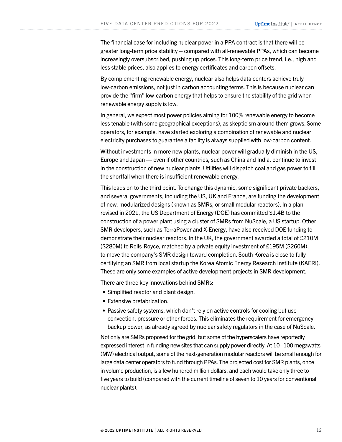The financial case for including nuclear power in a PPA contract is that there will be greater long-term price stability – compared with all-renewable PPAs, which can become increasingly oversubscribed, pushing up prices. This long-term price trend, i.e., high and less stable prices, also applies to energy certificates and carbon offsets.

By complementing renewable energy, nuclear also helps data centers achieve truly low-carbon emissions, not just in carbon accounting terms. This is because nuclear can provide the "firm" low-carbon energy that helps to ensure the stability of the grid when renewable energy supply is low.

In general, we expect most power policies aiming for 100% renewable energy to become less tenable (with some geographical exceptions), as skepticism around them grows. Some operators, for example, have started exploring a combination of renewable and nuclear electricity purchases to guarantee a facility is always supplied with low-carbon content.

Without investments in more new plants, nuclear power will gradually diminish in the US, Europe and Japan — even if other countries, such as China and India, continue to invest in the construction of new nuclear plants. Utilities will dispatch coal and gas power to fill the shortfall when there is insufficient renewable energy.

This leads on to the third point. To change this dynamic, some significant private backers, and several governments, including the US, UK and France, are funding the development of new, modularized designs (known as SMRs, or small modular reactors). In a plan revised in 2021, the US Department of Energy (DOE) has committed \$1.4B to the construction of a power plant using a cluster of SMRs from NuScale, a US startup. Other SMR developers, such as TerraPower and X-Energy, have also received DOE funding to demonstrate their nuclear reactors. In the UK, the government awarded a total of £210M (\$280M) to Rolls-Royce, matched by a private equity investment of £195M (\$260M), to move the company's SMR design toward completion. South Korea is close to fully certifying an SMR from local startup the Korea Atomic Energy Research Institute (KAERI). These are only some examples of active development projects in SMR development.

There are three key innovations behind SMRs:

- Simplified reactor and plant design.
- Extensive prefabrication.
- Passive safety systems, which don't rely on active controls for cooling but use convection, pressure or other forces. This eliminates the requirement for emergency backup power, as already agreed by nuclear safety regulators in the case of NuScale.

Not only are SMRs proposed for the grid, but some of the hyperscalers have reportedly expressed interest in funding new sites that can supply power directly. At 10–100 megawatts (MW) electrical output, some of the next-generation modular reactors will be small enough for large data center operators to fund through PPAs. The projected cost for SMR plants, once in volume production, is a few hundred million dollars, and each would take only three to five years to build (compared with the current timeline of seven to 10 years for conventional nuclear plants).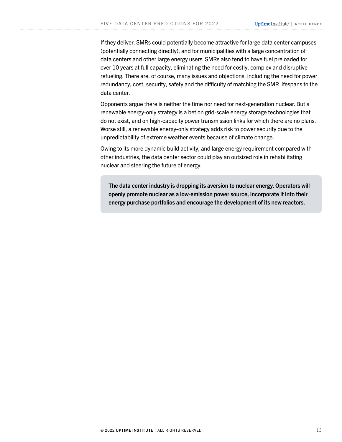If they deliver, SMRs could potentially become attractive for large data center campuses (potentially connecting directly), and for municipalities with a large concentration of data centers and other large energy users. SMRs also tend to have fuel preloaded for over 10 years at full capacity, eliminating the need for costly, complex and disruptive refueling. There are, of course, many issues and objections, including the need for power redundancy, cost, security, safety and the difficulty of matching the SMR lifespans to the data center.

Opponents argue there is neither the time nor need for next-generation nuclear. But a renewable energy-only strategy is a bet on grid-scale energy storage technologies that do not exist, and on high-capacity power transmission links for which there are no plans. Worse still, a renewable energy-only strategy adds risk to power security due to the unpredictability of extreme weather events because of climate change.

Owing to its more dynamic build activity, and large energy requirement compared with other industries, the data center sector could play an outsized role in rehabilitating nuclear and steering the future of energy.

The data center industry is dropping its aversion to nuclear energy. Operators will openly promote nuclear as a low-emission power source, incorporate it into their energy purchase portfolios and encourage the development of its new reactors.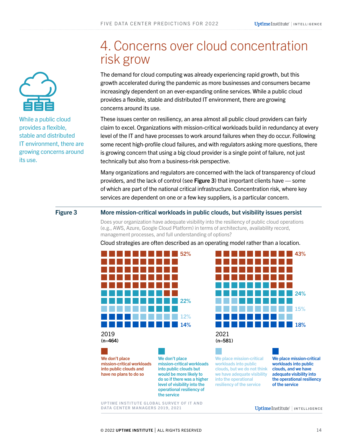<span id="page-13-0"></span>

While a public cloud provides a flexible, stable and distributed IT environment, there are growing concerns around its use.

### 4. Concerns over cloud concentration risk grow

The demand for cloud computing was already experiencing rapid growth, but this growth accelerated during the pandemic as more businesses and consumers became increasingly dependent on an ever-expanding online services. While a public cloud provides a flexible, stable and distributed IT environment, there are growing concerns around its use.

These issues center on resiliency, an area almost all public cloud providers can fairly claim to excel. Organizations with mission-critical workloads build in redundancy at every level of the IT and have processes to work around failures when they do occur. Following some recent high-profile cloud failures, and with regulators asking more questions, there is growing concern that using a big cloud provider is a single point of failure, not just technically but also from a business-risk perspective.

Many organizations and regulators are concerned with the lack of transparency of cloud providers, and the lack of control (see Figure 3) that important clients have — some of which are part of the national critical infrastructure. Concentration risk, where key services are dependent on one or a few key suppliers, is a particular concern.

#### Figure 3 More mission-critical workloads in public clouds, but visibility issues persist

Does your organization have adequate visibility into the resiliency of public cloud operations (e.g., AWS, Azure, Google Cloud Platform) in terms of architecture, availability record, management processes, and full understanding of options?

Cloud strategies are often described as an operating model rather than a location.



We don't place

mission-critical workloads into public clouds and have no plans to do so



We place mission-critical workloads into public clouds, but we do not think we have adequate visibility into the operational resiliency of the service

We place mission-critical workloads into public clouds, and we have adequate visibility into the operational resiliency of the service

UPTIME INSTITUTE GLOBAL SURVEY OF IT AND DATA CENTER MANAGERS 2019, 2021

We don't place

the service

mission-critical workloads into public clouds but would be more likely to do so if there was a higher level of visibility into the operational resiliency of

UptimeInstitute' | INTELLIGENCE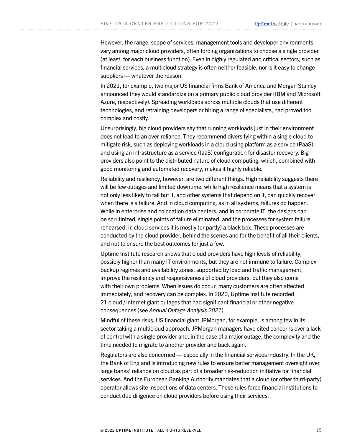However, the range, scope of services, management tools and developer environments vary among major cloud providers, often forcing organizations to choose a single provider (at least, for each business function). Even in highly regulated and critical sectors, such as financial services, a multicloud strategy is often neither feasible, nor is it easy to change suppliers — whatever the reason.

In 2021, for example, two major US financial firms Bank of America and Morgan Stanley announced they would standardize on a primary public cloud provider (IBM and Microsoft Azure, respectively). Spreading workloads across multiple clouds that use different technologies, and retraining developers or hiring a range of specialists, had proved too complex and costly.

Unsurprisingly, big cloud providers say that running workloads just in their environment does not lead to an over-reliance. They recommend diversifying within a single cloud to mitigate risk, such as deploying workloads in a cloud using platform as a service (PaaS) and using an infrastructure as a service (IaaS) configuration for disaster recovery. Big providers also point to the distributed nature of cloud computing, which, combined with good monitoring and automated recovery, makes it highly reliable.

Reliability and resiliency, however, are two different things. High reliability suggests there will be few outages and limited downtime, while high resilience means that a system is not only less likely to fail but it, and other systems that depend on it, can quickly recover when there is a failure. And in cloud computing, as in all systems, failures do happen. While in enterprise and colocation data centers, and in corporate IT, the designs can be scrutinized, single points of failure eliminated, and the processes for system failure rehearsed, in cloud services it is mostly (or partly) a black box. These processes are conducted by the cloud provider, behind the scenes and for the benefit of all their clients, and not to ensure the best outcomes for just a few.

Uptime Institute research shows that cloud providers have high levels of reliability, possibly higher than many IT environments, but they are not immune to failure. Complex backup regimes and availability zones, supported by load and traffic management, improve the resiliency and responsiveness of cloud providers, but they also come with their own problems. When issues do occur, many customers are often affected immediately, and recovery can be complex. In 2020, Uptime Institute recorded 21 cloud / internet giant outages that had significant financial or other negative consequences (see *[Annual Outage Analysis 2021](https://insidetrack.uptimeinstitute.com/member/resource/show/29176)*).

Mindful of these risks, US financial giant JPMorgan, for example, is among few in its sector taking a multicloud approach. JPMorgan managers have cited concerns over a lack of control with a single provider and, in the case of a major outage, the complexity and the time needed to migrate to another provider and back again.

Regulators are also concerned — especially in the financial services industry. In the UK, the Bank of England is introducing new rules to ensure better management oversight over large banks' reliance on cloud as part of a broader risk-reduction initiative for financial services. And the European Banking Authority mandates that a cloud (or other third-party) operator allows site inspections of data centers. These rules force financial institutions to conduct due diligence on cloud providers before using their services.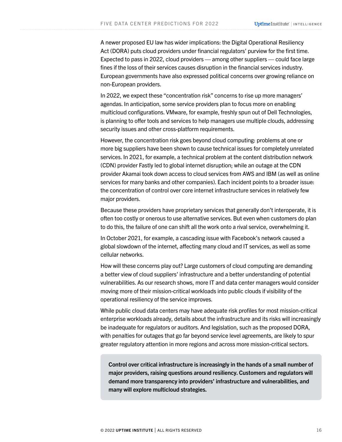A newer proposed EU law has wider implications: the Digital Operational Resiliency Act (DORA) puts cloud providers under financial regulators' purview for the first time. Expected to pass in 2022, cloud providers — among other suppliers — could face large fines if the loss of their services causes disruption in the financial services industry. European governments have also expressed political concerns over growing reliance on non-European providers.

In 2022, we expect these "concentration risk" concerns to rise up more managers' agendas. In anticipation, some service providers plan to focus more on enabling multicloud configurations. VMware, for example, freshly spun out of Dell Technologies, is planning to offer tools and services to help managers use multiple clouds, addressing security issues and other cross-platform requirements.

However, the concentration risk goes beyond cloud computing: problems at one or more big suppliers have been shown to cause technical issues for completely unrelated services. In 2021, for example, a technical problem at the content distribution network (CDN) provider Fastly led to global internet disruption; while an outage at the CDN provider Akamai took down access to cloud services from AWS and IBM (as well as online services for many banks and other companies). Each incident points to a broader issue: the concentration of control over core internet infrastructure services in relatively few major providers.

Because these providers have proprietary services that generally don't interoperate, it is often too costly or onerous to use alternative services. But even when customers do plan to do this, the failure of one can shift all the work onto a rival service, overwhelming it.

In October 2021, for example, a cascading issue with Facebook's network caused a global slowdown of the internet, affecting many cloud and IT services, as well as some cellular networks.

How will these concerns play out? Large customers of cloud computing are demanding a better view of cloud suppliers' infrastructure and a better understanding of potential vulnerabilities. As our research shows, more IT and data center managers would consider moving more of their mission-critical workloads into public clouds if visibility of the operational resiliency of the service improves.

While public cloud data centers may have adequate risk profiles for most mission-critical enterprise workloads already, details about the infrastructure and its risks will increasingly be inadequate for regulators or auditors. And legislation, such as the proposed DORA, with penalties for outages that go far beyond service level agreements, are likely to spur greater regulatory attention in more regions and across more mission-critical sectors.

Control over critical infrastructure is increasingly in the hands of a small number of major providers, raising questions around resiliency. Customers and regulators will demand more transparency into providers' infrastructure and vulnerabilities, and many will explore multicloud strategies.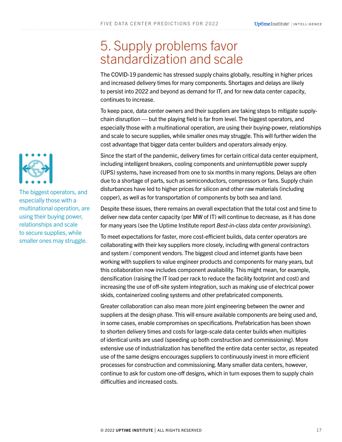### <span id="page-16-0"></span>5. Supply problems favor standardization and scale

The COVID-19 pandemic has stressed supply chains globally, resulting in higher prices and increased delivery times for many components. Shortages and delays are likely to persist into 2022 and beyond as demand for IT, and for new data center capacity, continues to increase.

To keep pace, data center owners and their suppliers are taking steps to mitigate supplychain disruption — but the playing field is far from level. The biggest operators, and especially those with a multinational operation, are using their buying-power, relationships and scale to secure supplies, while smaller ones may struggle. This will further widen the cost advantage that bigger data center builders and operators already enjoy.

Since the start of the pandemic, delivery times for certain critical data center equipment, including intelligent breakers, cooling components and uninterruptible power supply (UPS) systems, have increased from one to six months in many regions. Delays are often due to a shortage of parts, such as semiconductors, compressors or fans. Supply chain disturbances have led to higher prices for silicon and other raw materials (including copper), as well as for transportation of components by both sea and land.

Despite these issues, there remains an overall expectation that the total cost and time to deliver new data center capacity (per MW of IT) will continue to decrease, as it has done for many years (see the Uptime Institute report *[Best-in-class data center provisioning](https://insidetrack.uptimeinstitute.com/member/resource/show/28307)*).

To meet expectations for faster, more cost-efficient builds, data center operators are collaborating with their key suppliers more closely, including with general contractors and system / component vendors. The biggest cloud and internet giants have been working with suppliers to value engineer products and components for many years, but this collaboration now includes component availability. This might mean, for example, densification (raising the IT load per rack to reduce the facility footprint and cost) and increasing the use of off-site system integration, such as making use of electrical power skids, containerized cooling systems and other prefabricated components.

Greater collaboration can also mean more joint engineering between the owner and suppliers at the design phase. This will ensure available components are being used and, in some cases, enable compromises on specifications. Prefabrication has been shown to shorten delivery times and costs for large-scale data center builds when multiples of identical units are used (speeding up both construction and commissioning). More extensive use of industrialization has benefited the entire data center sector, as repeated use of the same designs encourages suppliers to continuously invest in more efficient processes for construction and commissioning. Many smaller data centers, however, continue to ask for custom one-off designs, which in turn exposes them to supply chain difficulties and increased costs.



The biggest operators, and especially those with a multinational operation, are using their buying power, relationships and scale to secure supplies, while smaller ones may struggle.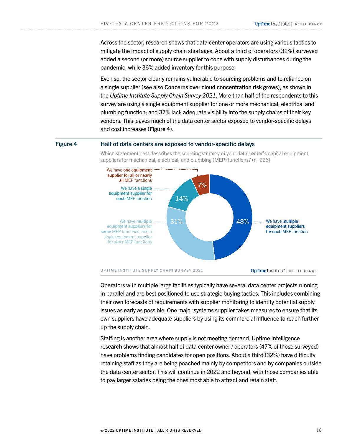<span id="page-17-0"></span>Across the sector, research shows that data center operators are using various tactics to mitigate the impact of supply chain shortages. About a third of operators (32%) surveyed added a second (or more) source supplier to cope with supply disturbances during the pandemic, while 36% added inventory for this purpose.

Even so, the sector clearly remains vulnerable to sourcing problems and to reliance on a single supplier (see also [Concerns over cloud concentration risk grows](#page-13-0)), as shown in the *[Uptime Institute Supply Chain Survey 2021](https://insidetrack.uptimeinstitute.com/member/resource/show/29743)*. More than half of the respondents to this survey are using a single equipment supplier for one or more mechanical, electrical and plumbing function; and 37% lack adequate visibility into the supply chains of their key vendors. This leaves much of the data center sector exposed to vendor-specific delays and cost increases (Figure 4).

#### Figure 4 Half of data centers are exposed to vendor-specific delays

Which statement best describes the sourcing strategy of your data center's capital equipment suppliers for mechanical, electrical, and plumbing (MEP) functions? (n=226)



UptimeInstitute<sup>'</sup> | INTELLIGENCE

Operators with multiple large facilities typically have several data center projects running in parallel and are best positioned to use strategic buying tactics. This includes combining their own forecasts of requirements with supplier monitoring to identify potential supply issues as early as possible. One major systems supplier takes measures to ensure that its own suppliers have adequate suppliers by using its commercial influence to reach further up the supply chain.

Staffing is another area where supply is not meeting demand. Uptime Intelligence research shows that almost half of data center owner / operators (47% of those surveyed) have problems finding candidates for open positions. About a third (32%) have difficulty retaining staff as they are being poached mainly by competitors and by companies outside the data center sector. This will continue in 2022 and beyond, with those companies able to pay larger salaries being the ones most able to attract and retain staff.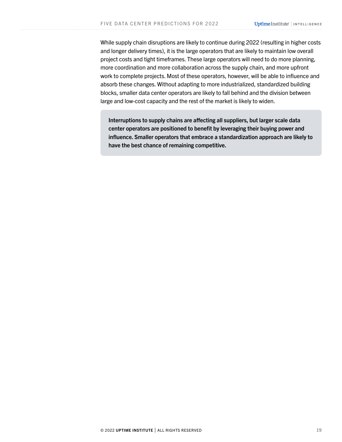While supply chain disruptions are likely to continue during 2022 (resulting in higher costs and longer delivery times), it is the large operators that are likely to maintain low overall project costs and tight timeframes. These large operators will need to do more planning, more coordination and more collaboration across the supply chain, and more upfront work to complete projects. Most of these operators, however, will be able to influence and absorb these changes. Without adapting to more industrialized, standardized building blocks, smaller data center operators are likely to fall behind and the division between large and low-cost capacity and the rest of the market is likely to widen.

Interruptions to supply chains are affecting all suppliers, but larger scale data center operators are positioned to benefit by leveraging their buying power and influence. Smaller operators that embrace a standardization approach are likely to have the best chance of remaining competitive.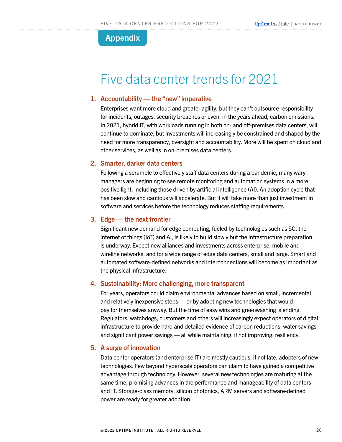### <span id="page-19-0"></span>Appendix

### Five data center trends for 2021

#### 1. Accountability — the "new" imperative

Enterprises want more cloud and greater agility, but they can't outsource responsibility for incidents, outages, security breaches or even, in the years ahead, carbon emissions. In 2021, hybrid IT, with workloads running in both on- and off-premises data centers, will continue to dominate, but investments will increasingly be constrained and shaped by the need for more transparency, oversight and accountability. More will be spent on cloud and other services, as well as in on-premises data centers.

#### 2. Smarter, darker data centers

Following a scramble to effectively staff data centers during a pandemic, many wary managers are beginning to see remote monitoring and automation systems in a more positive light, including those driven by artificial intelligence (AI). An adoption cycle that has been slow and cautious will accelerate. But it will take more than just investment in software and services before the technology reduces staffing requirements.

#### 3. Edge — the next frontier

Significant new demand for edge computing, fueled by technologies such as 5G, the internet of things (IoT) and AI, is likely to build slowly but the infrastructure preparation is underway. Expect new alliances and investments across enterprise, mobile and wireline networks, and for a wide range of edge data centers, small and large. Smart and automated software-defined networks and interconnections will become as important as the physical infrastructure.

#### 4. Sustainability: More challenging, more transparent

For years, operators could claim environmental advances based on small, incremental and relatively inexpensive steps — or by adopting new technologies that would pay for themselves anyway. But the time of easy wins and greenwashing is ending: Regulators, watchdogs, customers and others will increasingly expect operators of digital infrastructure to provide hard and detailed evidence of carbon reductions, water savings and significant power savings — all while maintaining, if not improving, resiliency.

#### 5. A surge of innovation

Data center operators (and enterprise IT) are mostly cautious, if not late, adopters of new technologies. Few beyond hyperscale operators can claim to have gained a competitive advantage through technology. However, several new technologies are maturing at the same time, promising advances in the performance and manageability of data centers and IT. Storage-class memory, silicon photonics, ARM servers and software-defined power are ready for greater adoption.